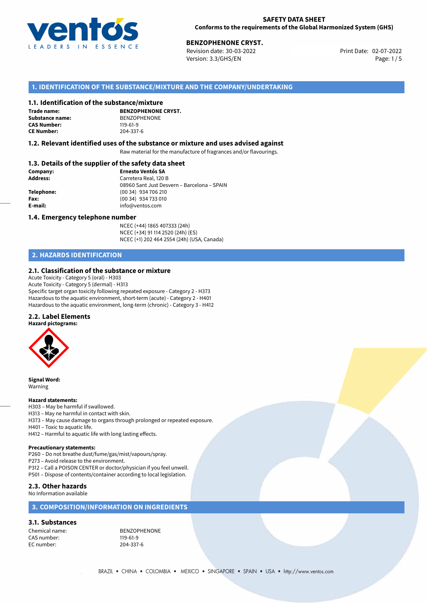

02-07-2022 **BENZOPHENONE CRYST.** Revision date: 30-03-2022 Print Date: Version: 3.3/GHS/EN Page: 1/5

# **1. IDENTIFICATION OF THE SUBSTANCE/MIXTURE AND THE COMPANY/UNDERTAKING**

## **1.1. Identification of the substance/mixture**

**Trade name: CAS Number:** 119-61-9<br> **CE Number:** 204-337-6 **CE Number:** 204-337-6

**BENZOPHENONE CRYST. Substance name:** BENZOPHENONE<br> **CAS Number:** 119-61-9

## **1.2. Relevant identified uses of the substance or mixture and uses advised against**

Raw material for the manufacture of fragrances and/or flavourings.

# **1.3. Details of the supplier of the safety data sheet**

| Company:        | <b>Ernesto Ventós SA</b>                    |  |
|-----------------|---------------------------------------------|--|
| <b>Address:</b> | Carretera Real, 120 B                       |  |
|                 | 08960 Sant Just Desvern - Barcelona - SPAIN |  |
| Telephone:      | (00 34) 934 706 210                         |  |
| Fax:            | (00 34) 934 733 010                         |  |
| E-mail:         | info@ventos.com                             |  |
|                 |                                             |  |

## **1.4. Emergency telephone number**

NCEC (+44) 1865 407333 (24h) NCEC (+34) 91 114 2520 (24h) (ES) NCEC (+1) 202 464 2554 (24h) (USA, Canada)

# **2. HAZARDS IDENTIFICATION**

## **2.1. Classification of the substance or mixture**

Acute Toxicity - Category 5 (oral) - H303 Acute Toxicity - Category 5 (dermal) - H313 Specific target organ toxicity following repeated exposure - Category 2 - H373 Hazardous to the aquatic environment, short-term (acute) - Category 2 - H401 Hazardous to the aquatic environment, long-term (chronic) - Category 3 - H412

## **2.2. Label Elements**



**Signal Word:** Warning

### **Hazard statements:**

- H303 May be harmful if swallowed.
- H313 May ne harmful in contact with skin.
- H373 May cause damage to organs through prolonged or repeated exposure.
- H401 Toxic to aquatic life. H412 – Harmful to aquatic life with long lasting effects.

- **Precautionary statements:** P260 – Do not breathe dust/fume/gas/mist/vapours/spray.
- P273 Avoid release to the environment.
- P312 Call a POISON CENTER or doctor/physician if you feel unwell.
- P501 Dispose of contents/container according to local legislation.

## **2.3. Other hazards**

No Information available

## **3. COMPOSITION/INFORMATION ON INGREDIENTS**

# **3.1. Substances**

CAS number: 119-61-9<br>EC number: 204-337-6 EC number:

Chemical name: BENZOPHENONE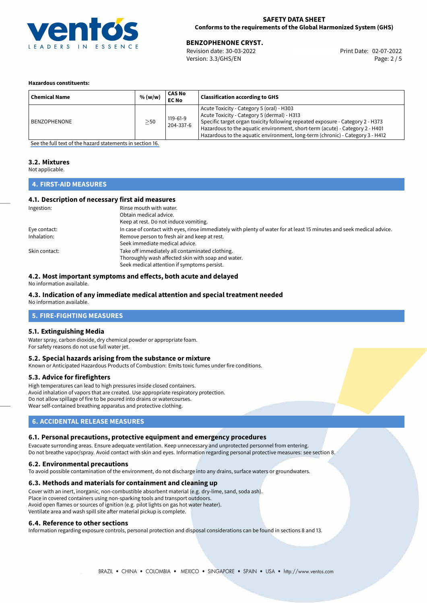

02-07-2022 **BENZOPHENONE CRYST.** Revision date: 30-03-2022 Print Date: Version: 3.3/GHS/EN Page: 2 / 5

## **Hazardous constituents:**

| <b>Chemical Name</b> | % (w/w)   | <b>CAS No</b><br><b>EC No</b> | <b>Classification according to GHS</b>                                                                                                                                                                                                                                                                                                      |
|----------------------|-----------|-------------------------------|---------------------------------------------------------------------------------------------------------------------------------------------------------------------------------------------------------------------------------------------------------------------------------------------------------------------------------------------|
| BENZOPHENONE         | $\geq$ 50 | 119-61-9<br>204-337-6         | Acute Toxicity - Category 5 (oral) - H303<br>Acute Toxicity - Category 5 (dermal) - H313<br>Specific target organ toxicity following repeated exposure - Category 2 - H373<br>Hazardous to the aquatic environment, short-term (acute) - Category 2 - H401<br>Hazardous to the aquatic environment, long-term (chronic) - Category 3 - H412 |

[See the full text of the hazard statements in section 16.](#page-4-0)

## **3.2. Mixtures**

Not applicable.

# **4. FIRST-AID MEASURES**

## **4.1. Description of necessary first aid measures**

| Ingestion:    | Rinse mouth with water.                                                                                               |
|---------------|-----------------------------------------------------------------------------------------------------------------------|
|               | Obtain medical advice.                                                                                                |
|               | Keep at rest. Do not induce vomiting.                                                                                 |
| Eye contact:  | In case of contact with eyes, rinse immediately with plenty of water for at least 15 minutes and seek medical advice. |
| Inhalation:   | Remove person to fresh air and keep at rest.                                                                          |
|               | Seek immediate medical advice.                                                                                        |
| Skin contact: | Take off immediately all contaminated clothing.                                                                       |
|               | Thoroughly wash affected skin with soap and water.                                                                    |
|               | Seek medical attention if symptoms persist.                                                                           |

## **4.2. Most important symptoms and effects, both acute and delayed**

No information available.

# **4.3. Indication of any immediate medical attention and special treatment needed**

No information available.

# **5. FIRE-FIGHTING MEASURES**

## **5.1. Extinguishing Media**

Water spray, carbon dioxide, dry chemical powder or appropriate foam. For safety reasons do not use full water jet.

## **5.2. Special hazards arising from the substance or mixture**

Known or Anticipated Hazardous Products of Combustion: Emits toxic fumes under fire conditions.

## **5.3. Advice for firefighters**

High temperatures can lead to high pressures inside closed containers. Avoid inhalation of vapors that are created. Use appropriate respiratory protection. Do not allow spillage of fire to be poured into drains or watercourses. Wear self-contained breathing apparatus and protective clothing.

## **6. ACCIDENTAL RELEASE MEASURES**

## **6.1. Personal precautions, protective equipment and emergency procedures**

Evacuate surronding areas. Ensure adequate ventilation. Keep unnecessary and unprotected personnel from entering. Do not breathe vapor/spray. Avoid contact with skin and eyes. Information regarding personal protective measures: see section 8.

## **6.2. Environmental precautions**

To avoid possible contamination of the environment, do not discharge into any drains, surface waters or groundwaters.

## **6.3. Methods and materials for containment and cleaning up**

Cover with an inert, inorganic, non-combustible absorbent material (e.g. dry-lime, sand, soda ash). Place in covered containers using non-sparking tools and transport outdoors. Avoid open flames or sources of ignition (e.g. pilot lights on gas hot water heater). Ventilate area and wash spill site after material pickup is complete.

## **6.4. Reference to other sections**

Information regarding exposure controls, personal protection and disposal considerations can be found in sections 8 and 13.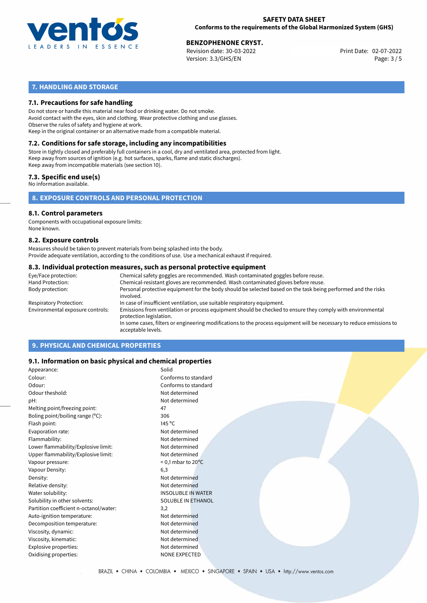

02-07-2022 **BENZOPHENONE CRYST.** Revision date: 30-03-2022 Print Date: Version: 3.3/GHS/EN Page: 3 / 5

# **7. HANDLING AND STORAGE**

# **7.1. Precautions for safe handling**

Do not store or handle this material near food or drinking water. Do not smoke. Avoid contact with the eyes, skin and clothing. Wear protective clothing and use glasses. Observe the rules of safety and hygiene at work. Keep in the original container or an alternative made from a compatible material.

# **7.2. Conditions for safe storage, including any incompatibilities**

Store in tightly closed and preferably full containers in a cool, dry and ventilated area, protected from light. Keep away from sources of ignition (e.g. hot surfaces, sparks, flame and static discharges). Keep away from incompatible materials (see section 10).

## **7.3. Specific end use(s)**

No information available.

**8. EXPOSURE CONTROLS AND PERSONAL PROTECTION**

# **8.1. Control parameters**

Components with occupational exposure limits: None known.

## **8.2. Exposure controls**

Measures should be taken to prevent materials from being splashed into the body. Provide adequate ventilation, according to the conditions of use. Use a mechanical exhaust if required.

## **8.3. Individual protection measures, such as personal protective equipment**

| Eye/Face protection:             | Chemical safety goggles are recommended. Wash contaminated goggles before reuse.                                                            |
|----------------------------------|---------------------------------------------------------------------------------------------------------------------------------------------|
| Hand Protection:                 | Chemical-resistant gloves are recommended. Wash contaminated gloves before reuse.                                                           |
| Body protection:                 | Personal protective equipment for the body should be selected based on the task being performed and the risks<br>involved.                  |
| Respiratory Protection:          | In case of insufficient ventilation, use suitable respiratory equipment.                                                                    |
| Environmental exposure controls: | Emissions from ventilation or process equipment should be checked to ensure they comply with environmental<br>protection legislation.       |
|                                  | In some cases, filters or engineering modifications to the process equipment will be necessary to reduce emissions to<br>acceptable levels. |
|                                  |                                                                                                                                             |

# **9. PHYSICAL AND CHEMICAL PROPERTIES**

## **9.1. Information on basic physical and chemical properties**

| Appearance:                                | Solid                          |  |
|--------------------------------------------|--------------------------------|--|
| Colour:                                    | Conforms to standard           |  |
| Odour:                                     | Conforms to standard           |  |
| Odour theshold:                            | Not determined                 |  |
| pH:                                        | Not determined                 |  |
| Melting point/freezing point:              | 47                             |  |
| Boling point/boiling range $(^{\circ}C)$ : | 306                            |  |
| Flash point:                               | 145 $\degree$ C                |  |
| Evaporation rate:                          | Not determined                 |  |
| Flammability:                              | Not determined                 |  |
| Lower flammability/Explosive limit:        | Not determined                 |  |
| Upper flammability/Explosive limit:        | Not determined                 |  |
| Vapour pressure:                           | $<$ 0,1 mbar to 20 $\degree$ C |  |
| Vapour Density:                            | 6,3                            |  |
| Density:                                   | Not determined                 |  |
| Relative density:                          | Not determined                 |  |
| Water solubility:                          | <b>INSOLUBLE IN WATER</b>      |  |
| Solubility in other solvents:              | <b>SOLUBLE IN ETHANOL</b>      |  |
| Partition coefficient n-octanol/water:     | 3,2                            |  |
| Auto-ignition temperature:                 | Not determined                 |  |
| Decomposition temperature:                 | Not determined                 |  |
| Viscosity, dynamic:                        | Not determined                 |  |
| Viscosity, kinematic:                      | Not determined                 |  |
| Explosive properties:                      | Not determined                 |  |
| Oxidising properties:                      | <b>NONE EXPECTED</b>           |  |
|                                            |                                |  |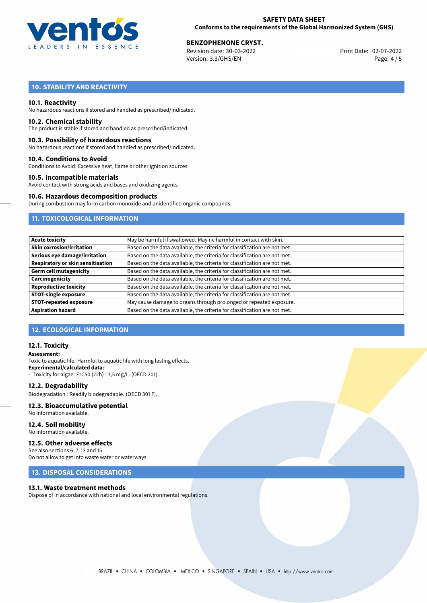

02-07-2022 **BENZOPHENONE CRYST.** Revision date: 30-03-2022 Print Date: Version: 3.3/GHS/EN Page: 4 / 5

# **10. STABILITY AND REACTIVITY**

## **10.1. Reactivity**

No hazardous reactions if stored and handled as prescribed/indicated.

# **10.2. Chemical stability**

The product is stable if stored and handled as prescribed/indicated.

## **10.3. Possibility of hazardous reactions**

No hazardous reactions if stored and handled as prescribed/indicated.

## **10.4. Conditions to Avoid**

Conditions to Avoid: Excessive heat, flame or other ignition sources.

## **10.5. Incompatible materials**

Avoid contact with strong acids and bases and oxidizing agents.

## **10.6. Hazardous decomposition products**

During combustion may form carbon monoxide and unidentified organic compounds.

# **11. TOXICOLOGICAL INFORMATION**

| Acute toxicity                    | May be harmful if swallowed. May ne harmful in contact with skin.         |
|-----------------------------------|---------------------------------------------------------------------------|
| <b>Skin corrosion/irritation</b>  | Based on the data available, the criteria for classification are not met. |
| Serious eye damage/irritation     | Based on the data available, the criteria for classification are not met. |
| Respiratory or skin sensitisation | Based on the data available, the criteria for classification are not met. |
| <b>Germ cell mutagenicity</b>     | Based on the data available, the criteria for classification are not met. |
| Carcinogenicity                   | Based on the data available, the criteria for classification are not met. |
| <b>Reproductive toxicity</b>      | Based on the data available, the criteria for classification are not met. |
| <b>STOT-single exposure</b>       | Based on the data available, the criteria for classification are not met. |
| <b>STOT-repeated exposure</b>     | May cause damage to organs through prolonged or repeated exposure.        |
| <b>Aspiration hazard</b>          | Based on the data available, the criteria for classification are not met. |

## **12. ECOLOGICAL INFORMATION**

## **12.1. Toxicity**

**Assessment:** Toxic to aquatic life. Harmful to aquatic life with long lasting effects. **Experimental/calculated data:** · Toxicity for algae: ErC50 (72h) : 3,5 mg/L. (OECD 201).

## **12.2. Degradability**

Biodegradation : Readily biodegradable. (OECD 301 F).

## **12.3. Bioaccumulative potential**

- No information available.
- **12.4. Soil mobility** No information available.

# **12.5. Other adverse effects**

See also sections 6, 7, 13 and 15 Do not allow to get into waste water or waterways.

## **13. DISPOSAL CONSIDERATIONS**

## **13.1. Waste treatment methods**

Dispose of in accordance with national and local environmental regulations.